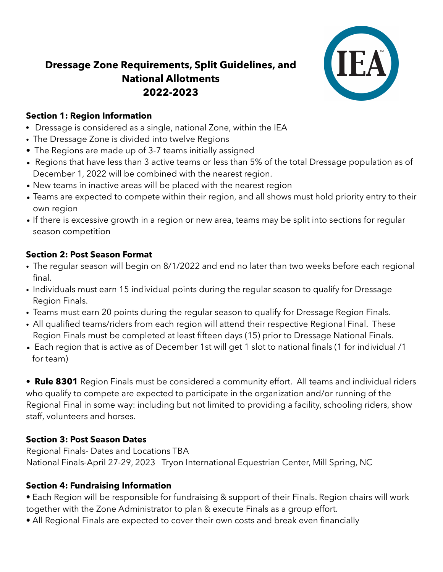# **Dressage Zone Requirements, Split Guidelines, and National Allotments 2022-2023**



#### **Section 1: Region Information**

- Dressage is considered as a single, national Zone, within the IEA
- The Dressage Zone is divided into twelve Regions
- The Regions are made up of 3-7 teams initially assigned
- Regions that have less than 3 active teams or less than 5% of the total Dressage population as of December 1, 2022 will be combined with the nearest region.
- New teams in inactive areas will be placed with the nearest region
- Teams are expected to compete within their region, and all shows must hold priority entry to their own region
- If there is excessive growth in a region or new area, teams may be split into sections for regular season competition

### **Section 2: Post Season Format**

- The regular season will begin on 8/1/2022 and end no later than two weeks before each regional final.
- Individuals must earn 15 individual points during the regular season to qualify for Dressage Region Finals.
- Teams must earn 20 points during the regular season to qualify for Dressage Region Finals.
- All qualified teams/riders from each region will attend their respective Regional Final. These Region Finals must be completed at least fifteen days (15) prior to Dressage National Finals.
- Each region that is active as of December 1st will get 1 slot to national finals (1 for individual /1 for team)

• **Rule 8301** Region Finals must be considered a community effort. All teams and individual riders who qualify to compete are expected to participate in the organization and/or running of the Regional Final in some way: including but not limited to providing a facility, schooling riders, show staff, volunteers and horses.

# **Section 3: Post Season Dates**

Regional Finals- Dates and Locations TBA National Finals-April 27-29, 2023 Tryon International Equestrian Center, Mill Spring, NC

# **Section 4: Fundraising Information**

• Each Region will be responsible for fundraising & support of their Finals. Region chairs will work together with the Zone Administrator to plan & execute Finals as a group effort.

• All Regional Finals are expected to cover their own costs and break even financially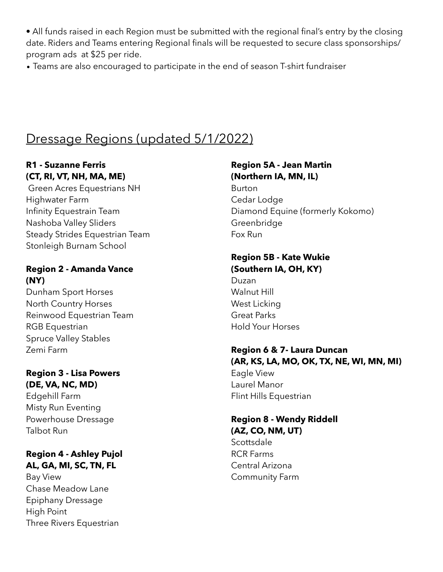• All funds raised in each Region must be submitted with the regional final's entry by the closing date. Riders and Teams entering Regional finals will be requested to secure class sponsorships/ program ads at \$25 per ride.

• Teams are also encouraged to participate in the end of season T-shirt fundraiser

# Dressage Regions (updated 5/1/2022)

### **R1 - Suzanne Ferris (CT, RI, VT, NH, MA, ME)**

 Green Acres Equestrians NH Highwater Farm Infinity Equestrain Team Nashoba Valley Sliders Steady Strides Equestrian Team Stonleigh Burnam School

#### **Region 2 - Amanda Vance (NY)**

Dunham Sport Horses North Country Horses Reinwood Equestrian Team RGB Equestrian Spruce Valley Stables Zemi Farm

## **Region 3 - Lisa Powers (DE, VA, NC, MD)**

Edgehill Farm Misty Run Eventing Powerhouse Dressage Talbot Run

# **Region 4 - Ashley Pujol AL, GA, MI, SC, TN, FL**

Bay View Chase Meadow Lane Epiphany Dressage High Point Three Rivers Equestrian

#### **Region 5A - Jean Martin (Northern IA, MN, IL)**

Burton Cedar Lodge Diamond Equine (formerly Kokomo) **Greenbridge** Fox Run

#### **Region 5B - Kate Wukie (Southern IA, OH, KY)**

Duzan Walnut Hill West Licking Great Parks Hold Your Horses

#### **Region 6 & 7- Laura Duncan (AR, KS, LA, MO, OK, TX, NE, WI, MN, MI)** Eagle View Laurel Manor Flint Hills Equestrian

# **Region 8 - Wendy Riddell (AZ, CO, NM, UT)**

**Scottsdale** RCR Farms Central Arizona Community Farm